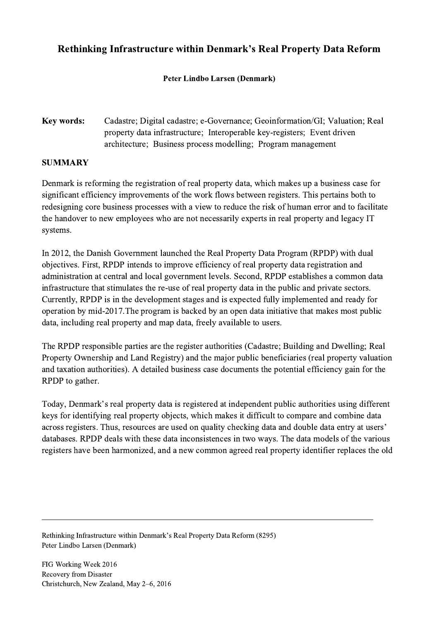## Rethinking Infrastructure within Denmark's Real Property Data Reform

## Peter Lindbo Larsen (Denmark)

Key words: Cadastre; Digital cadastre; e-Governance; Geoinformation/GI; Valuation; Real property data infrastructure; Interoperable key-registers; Event driven architecture; Business process modelling; Program management

## SUMMARY

Denmark is reforming the registration of real property data, which makes up a business case for significant efficiency improvements of the work flows between registers. This pertains both to redesigning core business processes with a view to reduce the risk of human error and to facilitate the handover to new employees who are not necessarily experts in real property and legacy IT systems.

In 2012, the Danish Government launched the Real Property Data Program (RPDP) with dual objectives. First, RPDP intends to improve efficiency of real property data registration and administration at central and local government levels. Second, RPDP establishes a common data infrastructure that stimulates the re-use of real property data in the public and private sectors. Currently, RPDP is in the development stages and is expected fully implemented and ready for operation by mid-2017.The program is backed by an open data initiative that makes most public data, including real property and map data, freely available to users.

The RPDP responsible parties are the register authorities (Cadastre; Building and Dwelling; Real Property Ownership and Land Registry) and the major public beneficiaries (real property valuation and taxation authorities). A detailed business case documents the potential efficiency gain for the RPDP to gather.

Today, Denmark's real property data is registered at independent public authorities using different keys for identifying real property objects, which makes it difficult to compare and combine data across registers. Thus, resources are used on quality checking data and double data entry at users' databases. RPDP deals with these data inconsistences in two ways. The data models of the various registers have been harmonized, and a new common agreed real property identifier replaces the old

 $\mathcal{L}_\mathcal{L} = \{ \mathcal{L}_\mathcal{L} = \{ \mathcal{L}_\mathcal{L} = \{ \mathcal{L}_\mathcal{L} = \{ \mathcal{L}_\mathcal{L} = \{ \mathcal{L}_\mathcal{L} = \{ \mathcal{L}_\mathcal{L} = \{ \mathcal{L}_\mathcal{L} = \{ \mathcal{L}_\mathcal{L} = \{ \mathcal{L}_\mathcal{L} = \{ \mathcal{L}_\mathcal{L} = \{ \mathcal{L}_\mathcal{L} = \{ \mathcal{L}_\mathcal{L} = \{ \mathcal{L}_\mathcal{L} = \{ \mathcal{L}_\mathcal{$ 

Rethinking Infrastructure within Denmark's Real Property Data Reform (8295) Peter Lindbo Larsen (Denmark)

FIG Working Week 2016 Recovery from Disaster Christchurch, New Zealand, May 2–6, 2016